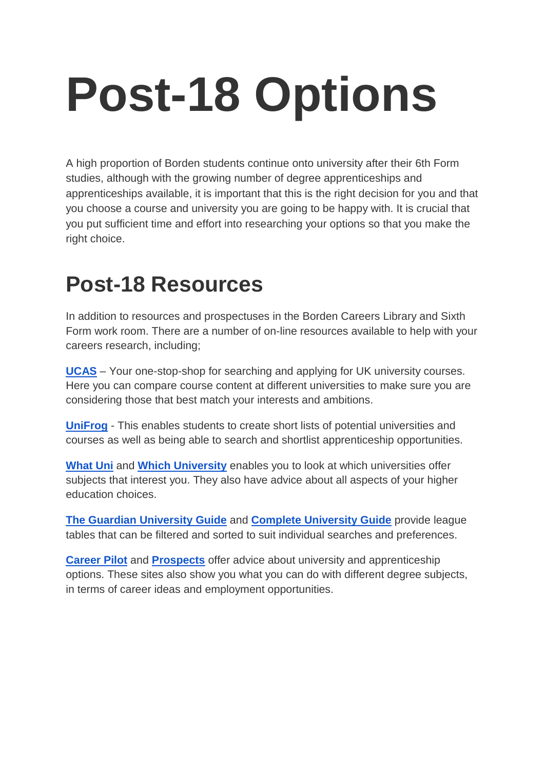## **Post-18 Options**

A high proportion of Borden students continue onto university after their 6th Form studies, although with the growing number of degree apprenticeships and apprenticeships available, it is important that this is the right decision for you and that you choose a course and university you are going to be happy with. It is crucial that you put sufficient time and effort into researching your options so that you make the right choice.

## **Post-18 Resources**

In addition to resources and prospectuses in the Borden Careers Library and Sixth Form work room. There are a number of on-line resources available to help with your careers research, including;

**[UCAS](https://www.ucas.com/)** – Your one-stop-shop for searching and applying for UK university courses. Here you can compare course content at different universities to make sure you are considering those that best match your interests and ambitions.

**[UniFrog](https://www.unifrog.org/)** - This enables students to create short lists of potential universities and courses as well as being able to search and shortlist apprenticeship opportunities.

**[What Uni](https://www.whatuni.com/)** and **[Which University](https://university.which.co.uk/)** enables you to look at which universities offer subjects that interest you. They also have advice about all aspects of your higher education choices.

**[The Guardian University Guide](https://www.theguardian.com/education/universityguide)** and **[Complete University Guide](https://www.thecompleteuniversityguide.co.uk/)** provide league tables that can be filtered and sorted to suit individual searches and preferences.

**[Career Pilot](https://careerpilot.org.uk/)** and **[Prospects](https://www.prospects.ac.uk/)** offer advice about university and apprenticeship options. These sites also show you what you can do with different degree subjects, in terms of career ideas and employment opportunities.